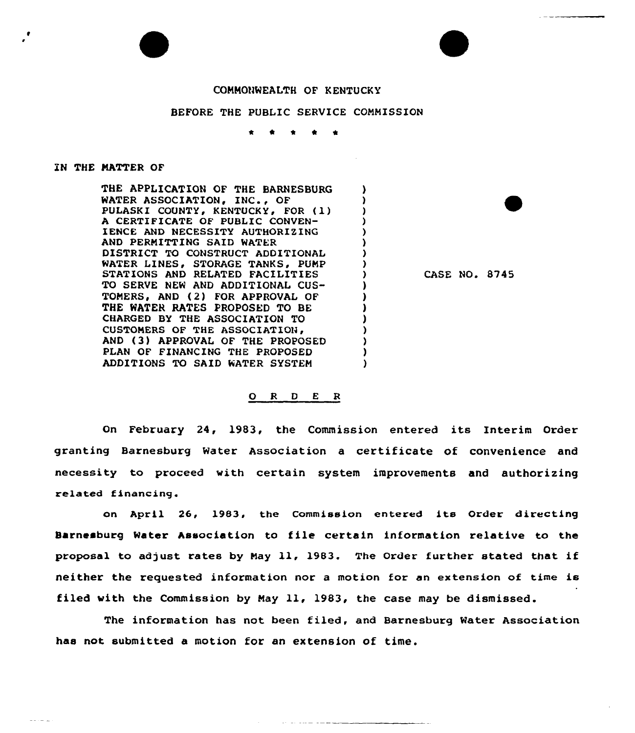## COMMONWEALTH OF KENTUCKY

## BEFORE THE PUBLIC SERVICE COMMISSION

\* \* \* \* \*

 $\lambda$ 

 $\lambda$  $\lambda$  $\lambda$  $\mathcal{L}$  $\lambda$  $\mathbf{r}$  $\lambda$  $\mathbf{L}$  $\mathbf{r}$ r

> $\lambda$ Σ J.

## IN THE MATTER OF

da samuri

THE APPLICATION OF THE BARNESBURG WATER ASSOCIATION, INC., OF PULASKI COUNTY, KENTUCKY, FOR (1) A CERTIFICATE OF PUBLIC CONVEN-IENCE AND NECESSITY AUTHORIZING AND PERNITTING SAID WATER DISTRICT TO CONSTRUCT ADDITIONAL WATER LINES, STORAGE TANKS, PUMP STATIONS AND RELATED FACILITIES TO SERVE NEW AND ADDITIONAL CUS-TOMERS, AND (2) FOR APPROVAL OF THE WATER RATES PROPOSED TO BE CHARGED BY THE ASSOCIATION TO CUSTONERS OF THE ASSOCIATION AND (3) APPROVAL OF THE PROPOSED PLAN OF FINANCING THE PROPOSED ADDITIONS TO SAID WATER SYSTEN

CASE NO. 8745

## 0 <sup>R</sup> <sup>D</sup> <sup>E</sup> <sup>R</sup>

On February 24, 1983, the Commission entered its Interim Order granting Barnesburg Water Association a certificate of convenience and necessity to proceed with certain system improvements and authorizing related financing.

on April 26, 1983, the Commission entered its Order directing Barnesburg Water Association to file certain information relative to the proposal to adjust rates by Nay ll, 1983. The Order further stated that if neither the requested information nor a motion for an extension of time is filed with the Commission by Nay 11, 1983, the case may be dismissed.

The information has not been filed, and Barnesburg Mater Association has not submitted a motion for an extension of time.